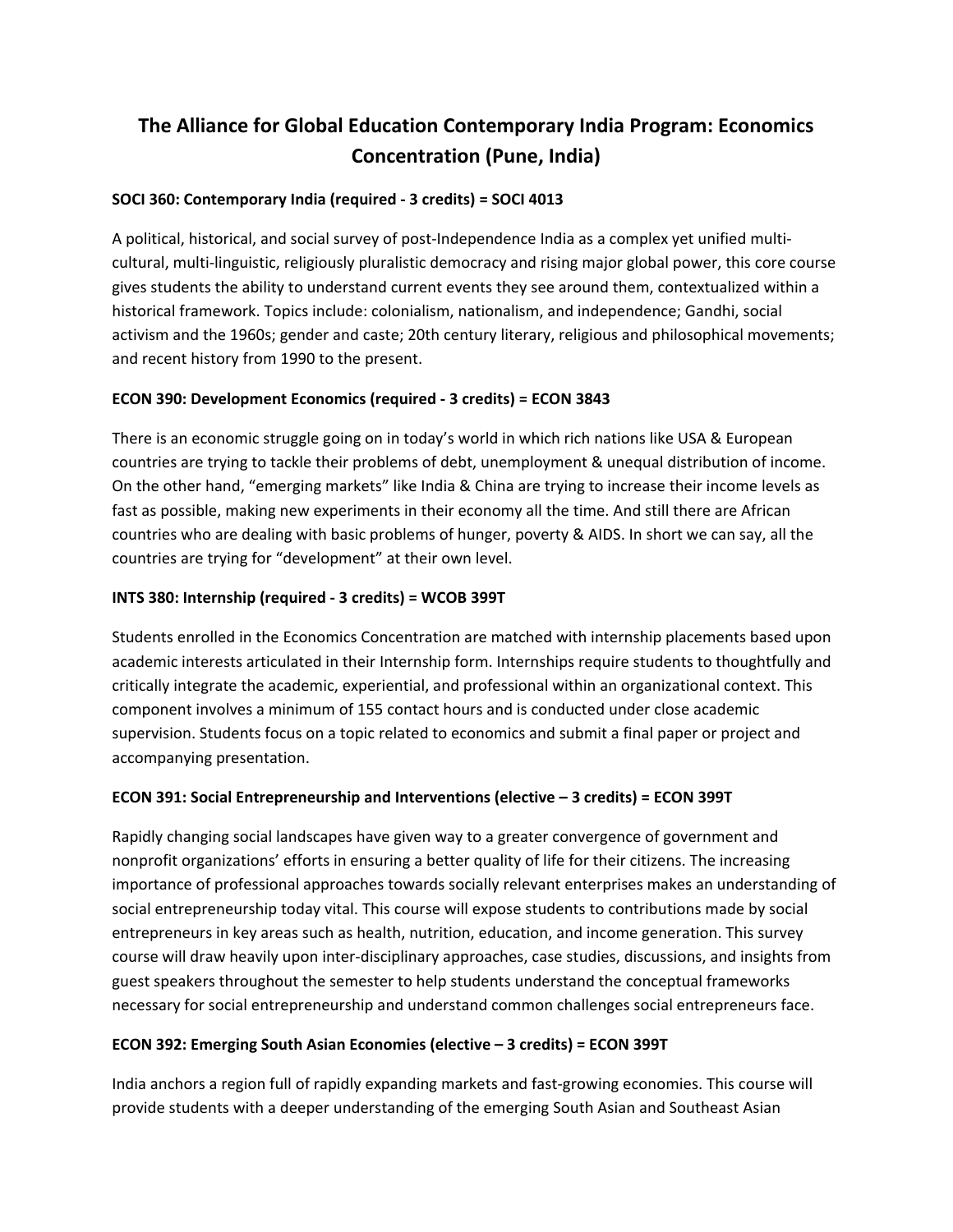# **The Alliance for Global Education Contemporary India Program: Economics Concentration (Pune, India)**

## **SOCI 360: Contemporary India (required ‐ 3 credits) = SOCI 4013**

A political, historical, and social survey of post‐Independence India as a complex yet unified multi‐ cultural, multi‐linguistic, religiously pluralistic democracy and rising major global power, this core course gives students the ability to understand current events they see around them, contextualized within a historical framework. Topics include: colonialism, nationalism, and independence; Gandhi, social activism and the 1960s; gender and caste; 20th century literary, religious and philosophical movements; and recent history from 1990 to the present.

### **ECON 390: Development Economics (required ‐ 3 credits) = ECON 3843**

There is an economic struggle going on in today's world in which rich nations like USA & European countries are trying to tackle their problems of debt, unemployment & unequal distribution of income. On the other hand, "emerging markets" like India & China are trying to increase their income levels as fast as possible, making new experiments in their economy all the time. And still there are African countries who are dealing with basic problems of hunger, poverty & AIDS. In short we can say, all the countries are trying for "development" at their own level.

### **INTS 380: Internship (required ‐ 3 credits) = WCOB 399T**

Students enrolled in the Economics Concentration are matched with internship placements based upon academic interests articulated in their Internship form. Internships require students to thoughtfully and critically integrate the academic, experiential, and professional within an organizational context. This component involves a minimum of 155 contact hours and is conducted under close academic supervision. Students focus on a topic related to economics and submit a final paper or project and accompanying presentation.

### **ECON 391: Social Entrepreneurship and Interventions (elective – 3 credits) = ECON 399T**

Rapidly changing social landscapes have given way to a greater convergence of government and nonprofit organizations' efforts in ensuring a better quality of life for their citizens. The increasing importance of professional approaches towards socially relevant enterprises makes an understanding of social entrepreneurship today vital. This course will expose students to contributions made by social entrepreneurs in key areas such as health, nutrition, education, and income generation. This survey course will draw heavily upon inter‐disciplinary approaches, case studies, discussions, and insights from guest speakers throughout the semester to help students understand the conceptual frameworks necessary for social entrepreneurship and understand common challenges social entrepreneurs face.

### **ECON 392: Emerging South Asian Economies (elective – 3 credits) = ECON 399T**

India anchors a region full of rapidly expanding markets and fast-growing economies. This course will provide students with a deeper understanding of the emerging South Asian and Southeast Asian